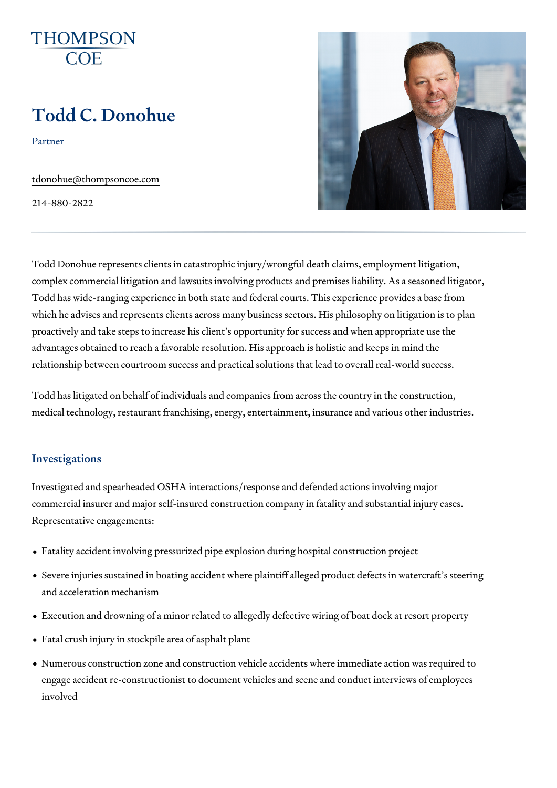# Todd C. Donohue

Partner

[tdonohue@thompso](mailto:tdonohue@thompsoncoe.com)ncoe.com

214-880-2822

Todd Donohue represents clients in catastrophic injury/wrongful death clai complex commercial litigation and lawsuits involving products and premise Todd has wide-ranging experience in both state and federal courts. This ex which he advises and represents clients across many business sectors. His proactively and take steps to increase his client s opportunity for success advantages obtained to reach a favorable resolution. His approach is holis relationship between courtroom success and practical solutions that lead t

Todd has litigated on behalf of individuals and companies from across the medical technology, restaurant franchising, energy, entertainment, insuran

#### Investigations

Investigated and spearheaded OSHA interactions/response and defended a commercial insurer and major self-insured construction company in fatality Representative engagements:

- Fatality accident involving pressurized pipe explosion during hospital con
- Severe injuries sustained in boating accident where plaintiff alleged prod and acceleration mechanism
- Execution and drowning of a minor related to allegedly defective wiring o
- Fatal crush injury in stockpile area of asphalt plant
- Numerous construction zone and construction vehicle accidents where im engage accident re-constructionist to document vehicles and scene and c involved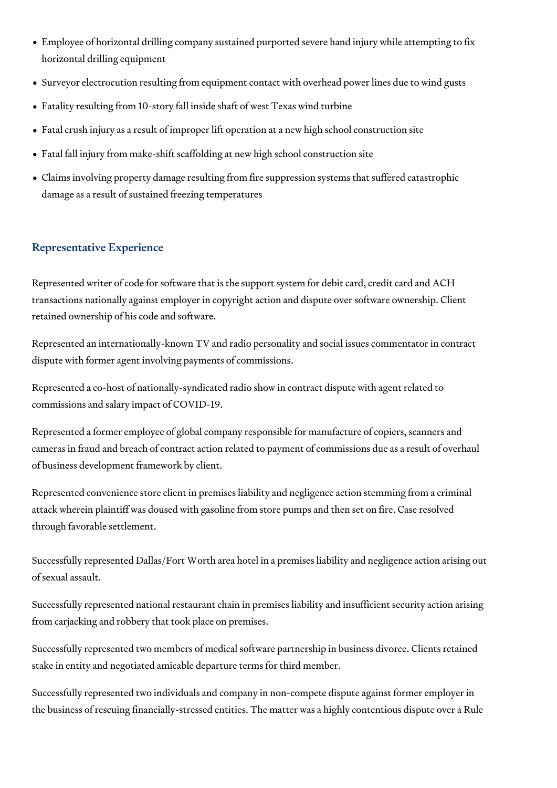- Employee of horizontal drilling company sustained purported severe hand injury while attempting to fix horizontal drilling equipment
- Surveyor electrocution resulting from equipment contact with overhead power lines due to wind gusts
- Fatality resulting from 10-story fall inside shaft of west Texas wind turbine
- Fatal crush injury as a result of improper lift operation at a new high school construction site
- Fatal fall injury from make-shift scaffolding at new high school construction site
- Claims involving property damage resulting from fire suppression systems that suffered catastrophic damage as a result of sustained freezing temperatures

## Representative Experience

Represented writer of code for software that is the support system for debit card, credit card and ACH transactions nationally against employer in copyright action and dispute over software ownership. Client retained ownership of his code and software.

Represented an internationally-known TV and radio personality and social issues commentator in contract dispute with former agent involving payments of commissions.

Represented a co-host of nationally-syndicated radio show in contract dispute with agent related to commissions and salary impact of COVID-19.

Represented a former employee of global company responsible for manufacture of copiers, scanners and cameras in fraud and breach of contract action related to payment of commissions due as a result of overhaul of business development framework by client.

Represented convenience store client in premises liability and negligence action stemming from a criminal attack wherein plaintiff was doused with gasoline from store pumps and then set on fire. Case resolved through favorable settlement.

Successfully represented Dallas/Fort Worth area hotel in a premises liability and negligence action arising out of sexual assault.

Successfully represented national restaurant chain in premises liability and insufficient security action arising from carjacking and robbery that took place on premises.

Successfully represented two members of medical software partnership in business divorce. Clients retained stake in entity and negotiated amicable departure terms for third member.

Successfully represented two individuals and company in non-compete dispute against former employer in the business of rescuing financially-stressed entities. The matter was a highly contentious dispute over a Rule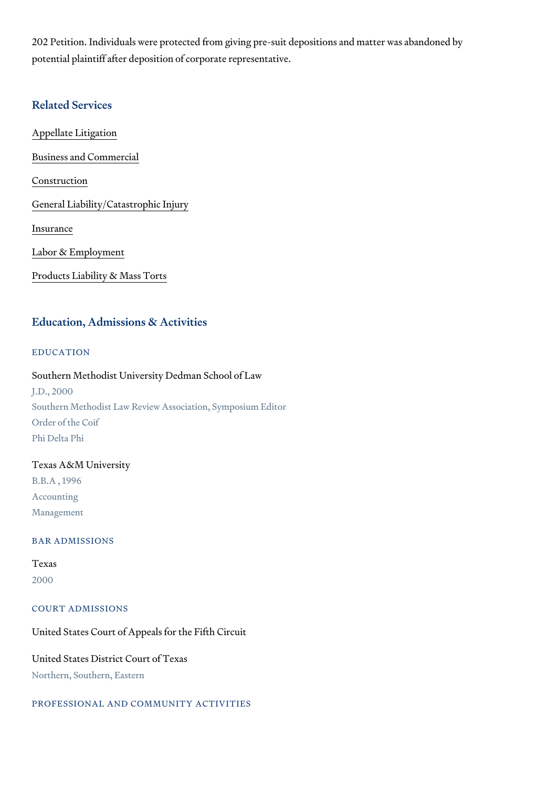202 Petition. Individuals were protected from giving pre-suit depositions a potential plaintiff after deposition of corporate representative.

#### Related Services

[Appellate Li](https://www.thompsoncoe.com/people/todd-c-donohue/)tigation

[Business and C](https://www.thompsoncoe.com/people/todd-c-donohue/)ommercial

[Constru](https://www.thompsoncoe.com/people/todd-c-donohue/)ction

[General Liability/Catas](https://www.thompsoncoe.com/people/todd-c-donohue/)trophic Injury

[Insura](https://www.thompsoncoe.com/people/todd-c-donohue/)nce

[Labor & Empl](https://www.thompsoncoe.com/people/todd-c-donohue/)oyment

[Products Liability &](https://www.thompsoncoe.com/people/todd-c-donohue/) Mass Torts

#### Education, Admissions & Activities

EDUCATION

Southern Methodist University Dedman School of Law J.D., 2000 Southern Methodist Law Review Association, Symposium Editor Order of the Coif Phi Delta Phi

## Texas A&M University B.B.A , 1996 Accounting Management

BAR ADMISSIONS

#### Texas 2000

COURT ADMISSIONS

United States Court of Appeals for the Fifth Circuit

United States District Court of Texas Northern, Southern, Eastern

PROFESSIONAL AND COMMUNITY ACTIVITIES